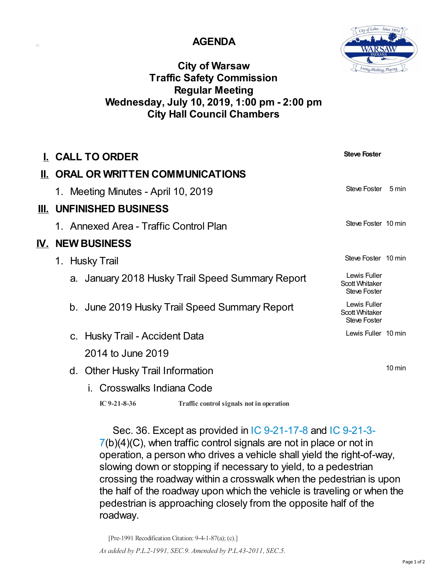## **AGENDA**

 $\Box$ 



## **City of Warsaw Traffic Safety Commission Regular Meeting Wednesday, July 10, 2019, 1:00 pm - 2:00 pm City Hall Council Chambers**

| I. CALL TO ORDER                                           | <b>Steve Foster</b>                                          |
|------------------------------------------------------------|--------------------------------------------------------------|
| II. ORAL OR WRITTEN COMMUNICATIONS                         |                                                              |
| 1. Meeting Minutes - April 10, 2019                        | Steve Foster<br>5 min                                        |
| III. UNFINISHED BUSINESS                                   |                                                              |
| 1. Annexed Area - Traffic Control Plan                     | Steve Foster 10 min                                          |
| <b>IV. NEW BUSINESS</b>                                    |                                                              |
| 1. Husky Trail                                             | Steve Foster 10 min                                          |
| a. January 2018 Husky Trail Speed Summary Report           | Lewis Fuller<br><b>Scott Whitaker</b><br><b>Steve Foster</b> |
| b. June 2019 Husky Trail Speed Summary Report              | Lewis Fuller<br><b>Scott Whitaker</b><br><b>Steve Foster</b> |
| c. Husky Trail - Accident Data                             | Lewis Fuller 10 min                                          |
| 2014 to June 2019                                          |                                                              |
| d. Other Husky Trail Information                           | $10 \text{ min}$                                             |
| i. Crosswalks Indiana Code                                 |                                                              |
| IC $9-21-8-36$<br>Traffic control signals not in operation |                                                              |

Sec. 36. Except as provided in IC [9-21-17-8](http://iga.in.gov/legislative/laws/2018/ic/titles/009/#9-21-3-7) and IC 9-21-3-7(b)(4)(C), when traffic control signals are not in place or not in operation, a person who drives a vehicle shall yield the right-of-way, slowing down or stopping if necessary to yield, to a pedestrian crossing the roadway within a crosswalk when the pedestrian is upon the half of the roadway upon which the vehicle is traveling or when the pedestrian is approaching closely from the opposite half of the roadway.